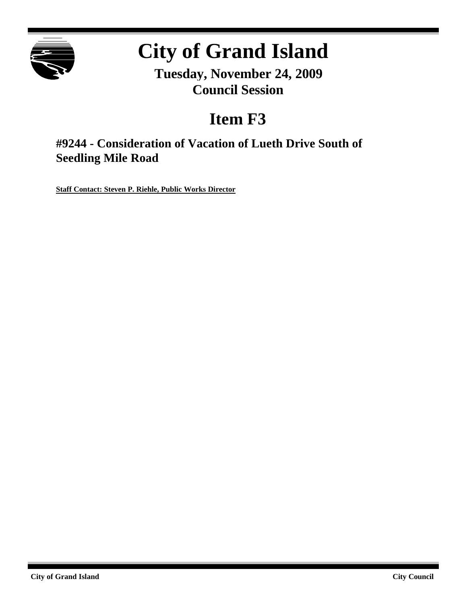

# **City of Grand Island**

**Tuesday, November 24, 2009 Council Session**

# **Item F3**

**#9244 - Consideration of Vacation of Lueth Drive South of Seedling Mile Road**

**Staff Contact: Steven P. Riehle, Public Works Director**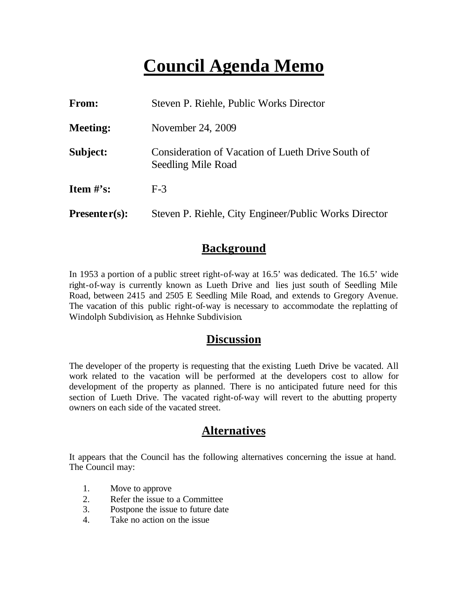## **Council Agenda Memo**

| From:           | Steven P. Riehle, Public Works Director                                 |
|-----------------|-------------------------------------------------------------------------|
| <b>Meeting:</b> | November 24, 2009                                                       |
| Subject:        | Consideration of Vacation of Lueth Drive South of<br>Seedling Mile Road |
| Item $\#$ 's:   | $F-3$                                                                   |
| $Presenter(s):$ | Steven P. Riehle, City Engineer/Public Works Director                   |

#### **Background**

In 1953 a portion of a public street right-of-way at 16.5' was dedicated. The 16.5' wide right-of-way is currently known as Lueth Drive and lies just south of Seedling Mile Road, between 2415 and 2505 E Seedling Mile Road, and extends to Gregory Avenue. The vacation of this public right-of-way is necessary to accommodate the replatting of Windolph Subdivision, as Hehnke Subdivision.

#### **Discussion**

The developer of the property is requesting that the existing Lueth Drive be vacated. All work related to the vacation will be performed at the developers cost to allow for development of the property as planned. There is no anticipated future need for this section of Lueth Drive. The vacated right-of-way will revert to the abutting property owners on each side of the vacated street.

#### **Alternatives**

It appears that the Council has the following alternatives concerning the issue at hand. The Council may:

- 1. Move to approve
- 2. Refer the issue to a Committee
- 3. Postpone the issue to future date
- 4. Take no action on the issue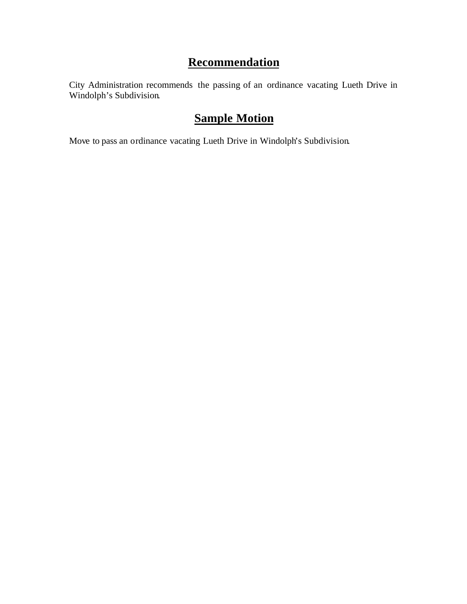### **Recommendation**

City Administration recommends the passing of an ordinance vacating Lueth Drive in Windolph's Subdivision.

### **Sample Motion**

Move to pass an ordinance vacating Lueth Drive in Windolph's Subdivision.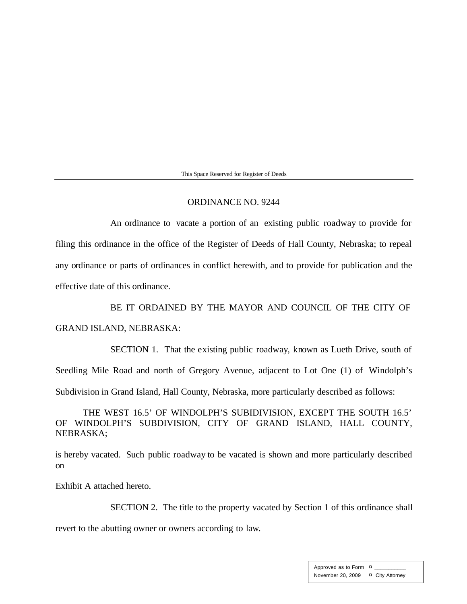This Space Reserved for Register of Deeds

#### ORDINANCE NO. 9244

An ordinance to vacate a portion of an existing public roadway to provide for filing this ordinance in the office of the Register of Deeds of Hall County, Nebraska; to repeal any ordinance or parts of ordinances in conflict herewith, and to provide for publication and the effective date of this ordinance.

BE IT ORDAINED BY THE MAYOR AND COUNCIL OF THE CITY OF GRAND ISLAND, NEBRASKA:

SECTION 1. That the existing public roadway, known as Lueth Drive, south of Seedling Mile Road and north of Gregory Avenue, adjacent to Lot One (1) of Windolph's Subdivision in Grand Island, Hall County, Nebraska, more particularly described as follows:

THE WEST 16.5' OF WINDOLPH'S SUBIDIVISION, EXCEPT THE SOUTH 16.5' OF WINDOLPH'S SUBDIVISION, CITY OF GRAND ISLAND, HALL COUNTY, NEBRASKA;

is hereby vacated. Such public roadway to be vacated is shown and more particularly described on

Exhibit A attached hereto.

SECTION 2. The title to the property vacated by Section 1 of this ordinance shall

revert to the abutting owner or owners according to law.

Approved as to Form  $\pi$ November 20, 2009 ¤ City Attorney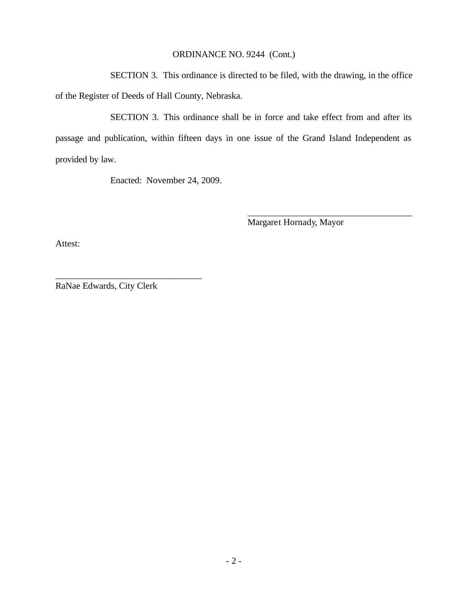#### ORDINANCE NO. 9244 (Cont.)

SECTION 3. This ordinance is directed to be filed, with the drawing, in the office of the Register of Deeds of Hall County, Nebraska.

SECTION 3. This ordinance shall be in force and take effect from and after its passage and publication, within fifteen days in one issue of the Grand Island Independent as provided by law.

Enacted: November 24, 2009.

Margaret Hornady, Mayor

\_\_\_\_\_\_\_\_\_\_\_\_\_\_\_\_\_\_\_\_\_\_\_\_\_\_\_\_\_\_\_\_\_\_\_\_

Attest:

RaNae Edwards, City Clerk

\_\_\_\_\_\_\_\_\_\_\_\_\_\_\_\_\_\_\_\_\_\_\_\_\_\_\_\_\_\_\_\_